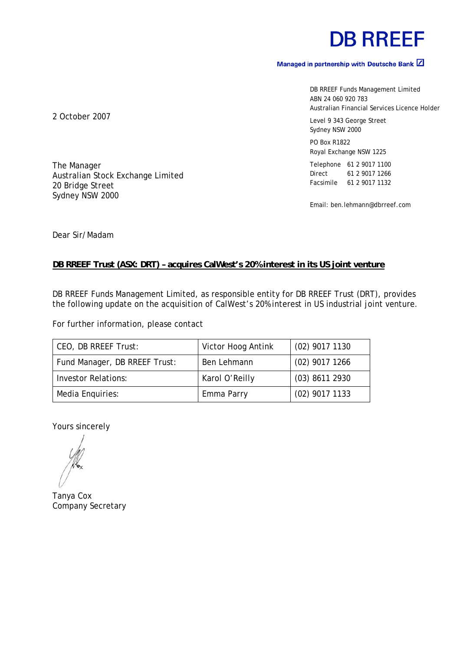# **DB RREEF**

### Managed in partnership with Deutsche Bank  $\boxed{2}$

DB RREEF Funds Management Limited ABN 24 060 920 783 Australian Financial Services Licence Holder

Level 9 343 George Street Sydney NSW 2000

PO Box R1822 Royal Exchange NSW 1225

Telephone 61 2 9017 1100 Direct 61 2 9017 1266 Facsimile 61 2 9017 1132

Email: ben.lehmann@dbrreef.com

2 October 2007

The Manager Australian Stock Exchange Limited 20 Bridge Street Sydney NSW 2000

Dear Sir/Madam

### **DB RREEF Trust (ASX: DRT) – acquires CalWest's 20% interest in its US joint venture**

DB RREEF Funds Management Limited, as responsible entity for DB RREEF Trust (DRT), provides the following update on the acquisition of CalWest's 20% interest in US industrial joint venture.

For further information, please contact

| CEO, DB RREEF Trust:          | Victor Hoog Antink | $(02)$ 9017 1130 |
|-------------------------------|--------------------|------------------|
| Fund Manager, DB RREEF Trust: | Ben Lehmann        | $(02)$ 9017 1266 |
| <b>Investor Relations:</b>    | Karol O'Reilly     | $(03)$ 8611 2930 |
| Media Enquiries:              | Emma Parry         | $(02)$ 9017 1133 |

Yours sincerely

Tanya Cox Company Secretary